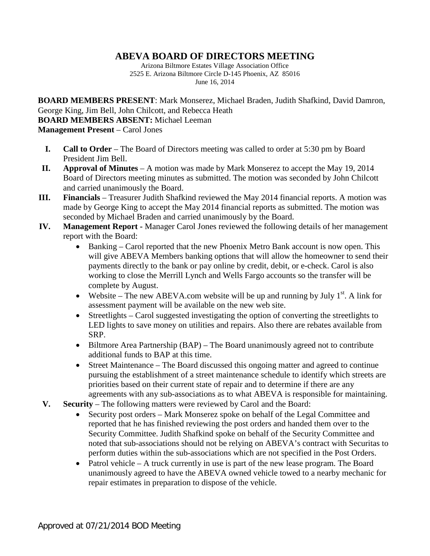## **ABEVA BOARD OF DIRECTORS MEETING**

Arizona Biltmore Estates Village Association Office 2525 E. Arizona Biltmore Circle D-145 Phoenix, AZ 85016 June 16, 2014

**BOARD MEMBERS PRESENT**: Mark Monserez, Michael Braden, Judith Shafkind, David Damron, George King, Jim Bell, John Chilcott, and Rebecca Heath **BOARD MEMBERS ABSENT:** Michael Leeman **Management Present** – Carol Jones

- **I. Call to Order** The Board of Directors meeting was called to order at 5:30 pm by Board President Jim Bell.
- **II. Approval of Minutes** A motion was made by Mark Monserez to accept the May 19, 2014 Board of Directors meeting minutes as submitted. The motion was seconded by John Chilcott and carried unanimously the Board.
- **III. Financials** Treasurer Judith Shafkind reviewed the May 2014 financial reports. A motion was made by George King to accept the May 2014 financial reports as submitted. The motion was seconded by Michael Braden and carried unanimously by the Board.
- **IV. Management Report -** Manager Carol Jones reviewed the following details of her management report with the Board:
	- Banking Carol reported that the new Phoenix Metro Bank account is now open. This will give ABEVA Members banking options that will allow the homeowner to send their payments directly to the bank or pay online by credit, debit, or e-check. Carol is also working to close the Merrill Lynch and Wells Fargo accounts so the transfer will be complete by August.
	- Website The new ABEVA.com website will be up and running by July  $1<sup>st</sup>$ . A link for assessment payment will be available on the new web site.
	- Streetlights Carol suggested investigating the option of converting the streetlights to LED lights to save money on utilities and repairs. Also there are rebates available from SRP.
	- Biltmore Area Partnership (BAP) The Board unanimously agreed not to contribute additional funds to BAP at this time.
	- Street Maintenance The Board discussed this ongoing matter and agreed to continue pursuing the establishment of a street maintenance schedule to identify which streets are priorities based on their current state of repair and to determine if there are any agreements with any sub-associations as to what ABEVA is responsible for maintaining.
- **V. Security** The following matters were reviewed by Carol and the Board:
	- Security post orders Mark Monserez spoke on behalf of the Legal Committee and reported that he has finished reviewing the post orders and handed them over to the Security Committee. Judith Shafkind spoke on behalf of the Security Committee and noted that sub-associations should not be relying on ABEVA's contract with Securitas to perform duties within the sub-associations which are not specified in the Post Orders.
	- Patrol vehicle A truck currently in use is part of the new lease program. The Board unanimously agreed to have the ABEVA owned vehicle towed to a nearby mechanic for repair estimates in preparation to dispose of the vehicle.